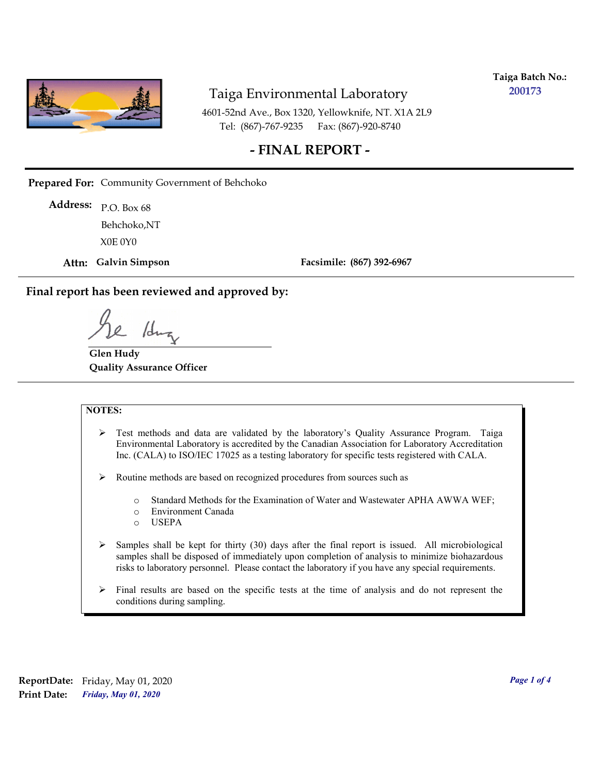

**Taiga Batch No.: 200173**

4601-52nd Ave., Box 1320, Yellowknife, NT. X1A 2L9 Tel: (867)-767-9235 Fax: (867)-920-8740

### **- FINAL REPORT -**

**Prepared For:** Community Government of Behchoko

P.O. Box 68 **Address:** X0E 0Y0 Behchoko,NT

**Attn: Galvin Simpson**

**Facsimile: (867) 392-6967**

**Final report has been reviewed and approved by:**

1dr

**Glen Hudy Quality Assurance Officer**

#### **NOTES:**

- $\triangleright$  Test methods and data are validated by the laboratory's Quality Assurance Program. Taiga Environmental Laboratory is accredited by the Canadian Association for Laboratory Accreditation Inc. (CALA) to ISO/IEC 17025 as a testing laboratory for specific tests registered with CALA.
- Routine methods are based on recognized procedures from sources such as
	- o Standard Methods for the Examination of Water and Wastewater APHA AWWA WEF;
	- o Environment Canada
	- o USEPA
- $\triangleright$  Samples shall be kept for thirty (30) days after the final report is issued. All microbiological samples shall be disposed of immediately upon completion of analysis to minimize biohazardous risks to laboratory personnel. Please contact the laboratory if you have any special requirements.
- $\triangleright$  Final results are based on the specific tests at the time of analysis and do not represent the conditions during sampling.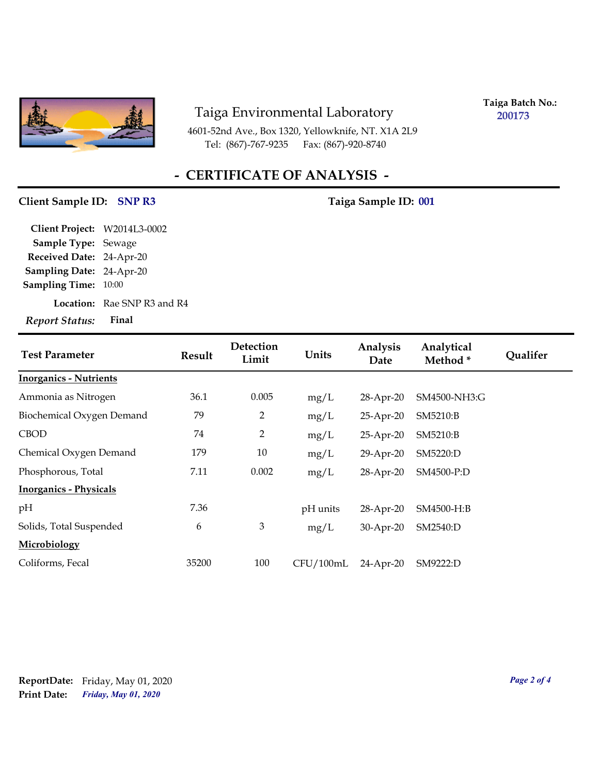

4601-52nd Ave., Box 1320, Yellowknife, NT. X1A 2L9 Tel: (867)-767-9235

**Taiga Batch No.: 200173**

# **- CERTIFICATE OF ANALYSIS -**

#### Client Sample ID: SNP R3 Taiga Sample ID: 001

| Client Project: W2014L3-0002 |                                    |
|------------------------------|------------------------------------|
| Sample Type: Sewage          |                                    |
| Received Date: 24-Apr-20     |                                    |
| Sampling Date: 24-Apr-20     |                                    |
| Sampling Time: 10:00         |                                    |
|                              | <b>Location:</b> Rae SNP R3 and R4 |
| Report Status: Final         |                                    |

| <b>Test Parameter</b>         | Result | Detection<br>Limit | Units     | Analysis<br>Date | Analytical<br>Method* | Qualifer |
|-------------------------------|--------|--------------------|-----------|------------------|-----------------------|----------|
| <b>Inorganics - Nutrients</b> |        |                    |           |                  |                       |          |
| Ammonia as Nitrogen           | 36.1   | 0.005              | mg/L      | 28-Apr-20        | SM4500-NH3:G          |          |
| Biochemical Oxygen Demand     | 79     | 2                  | mg/L      | 25-Apr-20        | SM5210:B              |          |
| <b>CBOD</b>                   | 74     | 2                  | mg/L      | 25-Apr-20        | SM5210:B              |          |
| Chemical Oxygen Demand        | 179    | 10                 | mg/L      | 29-Apr-20        | SM5220:D              |          |
| Phosphorous, Total            | 7.11   | 0.002              | mg/L      | 28-Apr-20        | SM4500-P:D            |          |
| <b>Inorganics - Physicals</b> |        |                    |           |                  |                       |          |
| pH                            | 7.36   |                    | pH units  | 28-Apr-20        | SM4500-H:B            |          |
| Solids, Total Suspended       | 6      | $\mathfrak{Z}$     | mg/L      | 30-Apr-20        | SM2540:D              |          |
| Microbiology                  |        |                    |           |                  |                       |          |
| Coliforms, Fecal              | 35200  | 100                | CFU/100mL | 24-Apr-20        | SM9222:D              |          |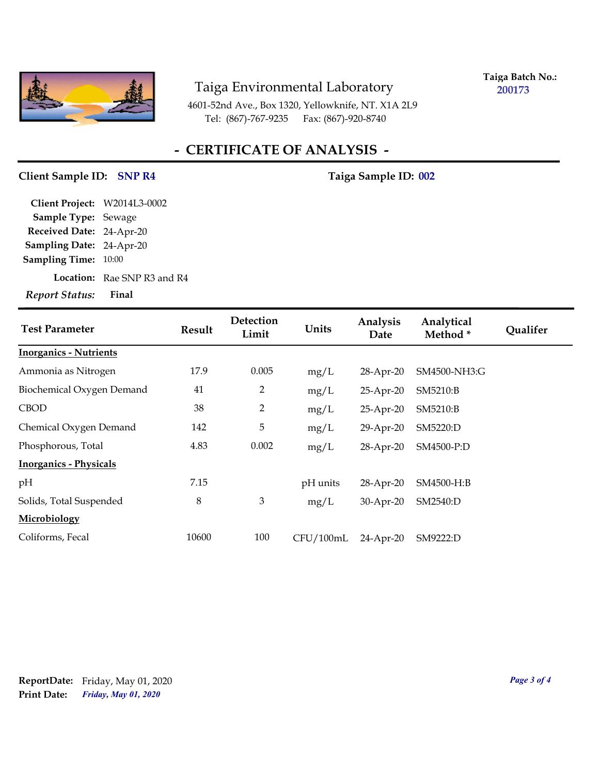

**Taiga Batch No.: 200173**

4601-52nd Ave., Box 1320, Yellowknife, NT. X1A 2L9 Tel: (867)-767-9235 Fax: (867)-920-8740

# **- CERTIFICATE OF ANALYSIS -**

#### Client Sample ID: SNP R4 Taiga Sample ID: 002

**Location:** Rae SNP R3 and R4 **Sampling Date:** 24-Apr-20 **Received Date:** 24-Apr-20 **Client Project:** W2014L3-0002 **Sample Type:** Sewage **Sampling Time:** 10:00 *Report Status:* **Final**

| <b>Test Parameter</b>         | Result  | <b>Detection</b><br>Limit | Units     | Analysis<br>Date | Analytical<br>Method* | <b>Qualifer</b> |
|-------------------------------|---------|---------------------------|-----------|------------------|-----------------------|-----------------|
| <b>Inorganics - Nutrients</b> |         |                           |           |                  |                       |                 |
| Ammonia as Nitrogen           | 17.9    | 0.005                     | mg/L      | 28-Apr-20        | SM4500-NH3:G          |                 |
| Biochemical Oxygen Demand     | 41      | $\overline{2}$            | mg/L      | 25-Apr-20        | SM5210:B              |                 |
| <b>CBOD</b>                   | 38      | $\overline{2}$            | mg/L      | 25-Apr-20        | SM5210:B              |                 |
| Chemical Oxygen Demand        | 142     | 5                         | mg/L      | 29-Apr-20        | SM5220:D              |                 |
| Phosphorous, Total            | 4.83    | 0.002                     | mg/L      | 28-Apr-20        | SM4500-P:D            |                 |
| <b>Inorganics - Physicals</b> |         |                           |           |                  |                       |                 |
| pH                            | 7.15    |                           | pH units  | 28-Apr-20        | SM4500-H:B            |                 |
| Solids, Total Suspended       | $\,8\,$ | $\mathfrak{B}$            | mg/L      | 30-Apr-20        | SM2540:D              |                 |
| Microbiology                  |         |                           |           |                  |                       |                 |
| Coliforms, Fecal              | 10600   | 100                       | CFU/100mL | 24-Apr-20        | SM9222:D              |                 |